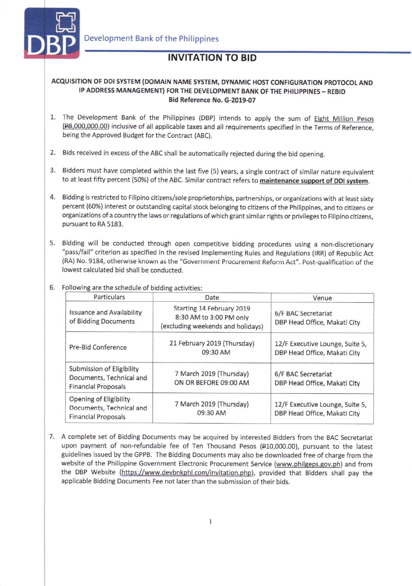

## INVITATION TO BID

## ACQUISITION OF DDI SYSTEM (DOMAIN NAME SYSTEM, DYNAMIC HOST CONFIGURATION PROTOCOL AND IP ADDRESS MANAGEMENT) FOR THE DEVELOPMENT BANK OF THE PHILIPPINES - REBID Bid Reference No. G-2019-07

- 1. The Development Bank of the Philippines (DBP) intends to apply the sum of Eight Million Pesos (P8,000,0O0.0O) inclusive of all applicable taxes and all requirements specified in the Terms of Reference, being the Approved Budget for the Contract (ABC).
- 2. Bids received in excess of the ABC shall be automatically rejected during the bid opening.
- 3. Bidders must have completed within the last five (5) years, a single contract of similar nature equivalent to at least fifty percent (50%) of the ABC. Similar contract refers to maintenance support of DDI system.
- 4. Bidding is restricted to Filipino citizens/sole proprietorships, partnerships, or organizations with at least sixty percent (60%) interest or outstanding capital stock belonging to citizens of the Philippines, and to citizens or organizations of a country the laws or regulations of which grant similar rights or privileges to Filipino citizens, pursuant to RA 5183.
- 5. Bidding will be conducted through open competitive bidding procedures using a non-discretionary "pass/fail" criterion as specified in the revised Implementing Rules and Regulations (IRR) of Republic Act (RA) No. 9184, otherwise known as the "Government Procurement Reform Act". Post-qualification of the lowest calculated bid shall be conducted.

## 6. Following are the schedule of bidding activities:

| Particulars                                                                         | Date                                                                                      | Venue                                                           |
|-------------------------------------------------------------------------------------|-------------------------------------------------------------------------------------------|-----------------------------------------------------------------|
| <b>Issuance and Availability</b><br>of Bidding Documents                            | Starting 14 February 2019<br>8:30 AM to 3:00 PM only<br>(excluding weekends and holidays) | 6/F BAC Secretariat<br>DBP Head Office, Makati City             |
| Pre-Bid Conference                                                                  | 21 February 2019 (Thursday)<br>09:30 AM                                                   | 12/F Executive Lounge, Suite 5,<br>DBP Head Office, Makati City |
| Submission of Eligibility<br>Documents, Technical and<br><b>Financial Proposals</b> | 7 March 2019 (Thursday)<br>ON OR BEFORE 09:00 AM                                          | 6/F BAC Secretariat<br>DBP Head Office, Makati City             |
| Opening of Eligibility<br>Documents, Technical and<br><b>Financial Proposals</b>    | 7 March 2019 (Thursday)<br>09:30 AM                                                       | 12/F Executive Lounge, Suite 5,<br>DBP Head Office, Makati City |

7. A complete set of Bidding Documents may be acquired by interested Bidders from the BAC Secretariat upon payment of non-refundable fee of Ten Thousand Pesos (#10,000.00), pursuant to the latest guidelines issued by the GPPB. The Bidding Documents may also be downloaded free of charge from the website of the Philippine Government Electronic Procurement Service (www.philgeps.gov.ph) and from the DBP Website (https://www.devbnkphl,com/invitation.php), provided that Bidders shall pay the applicable Bidding Documents Fee not later than the submission of their bids.